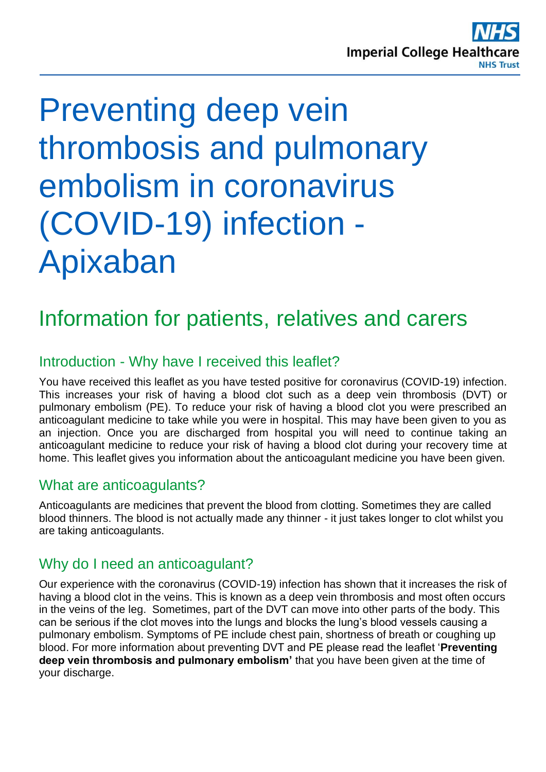

# Preventing deep vein thrombosis and pulmonary embolism in coronavirus (COVID-19) infection - Apixaban

## Information for patients, relatives and carers

## Introduction - Why have I received this leaflet?

You have received this leaflet as you have tested positive for coronavirus (COVID-19) infection. This increases your risk of having a blood clot such as a deep vein thrombosis (DVT) or pulmonary embolism (PE). To reduce your risk of having a blood clot you were prescribed an anticoagulant medicine to take while you were in hospital. This may have been given to you as an injection. Once you are discharged from hospital you will need to continue taking an anticoagulant medicine to reduce your risk of having a blood clot during your recovery time at home. This leaflet gives you information about the anticoagulant medicine you have been given.

## What are anticoagulants?

Anticoagulants are medicines that prevent the blood from clotting. Sometimes they are called blood thinners. The blood is not actually made any thinner - it just takes longer to clot whilst you are taking anticoagulants.

## Why do I need an anticoagulant?

Our experience with the coronavirus (COVID-19) infection has shown that it increases the risk of having a blood clot in the veins. This is known as a deep vein thrombosis and most often occurs in the veins of the leg. Sometimes, part of the DVT can move into other parts of the body. This can be serious if the clot moves into the lungs and blocks the lung's blood vessels causing a pulmonary embolism. Symptoms of PE include chest pain, shortness of breath or coughing up blood. For more information about preventing DVT and PE please read the leaflet '**Preventing deep vein thrombosis and pulmonary embolism'** that you have been given at the time of your discharge.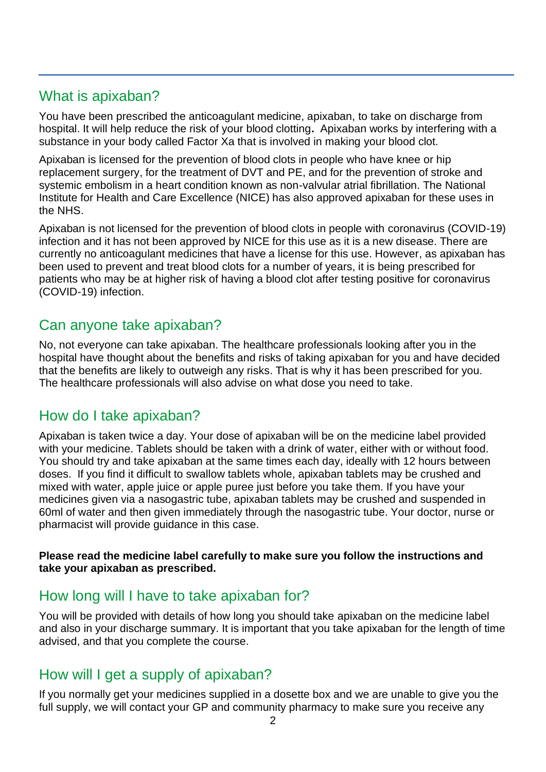## What is apixaban?

You have been prescribed the anticoagulant medicine, apixaban, to take on discharge from hospital. It will help reduce the risk of your blood clotting**.** Apixaban works by interfering with a substance in your body called Factor Xa that is involved in making your blood clot.

Apixaban is licensed for the prevention of blood clots in people who have knee or hip replacement surgery, for the treatment of DVT and PE, and for the prevention of stroke and systemic embolism in a heart condition known as non-valvular atrial fibrillation. The National Institute for Health and Care Excellence (NICE) has also approved apixaban for these uses in the NHS.

Apixaban is not licensed for the prevention of blood clots in people with coronavirus (COVID-19) infection and it has not been approved by NICE for this use as it is a new disease. There are currently no anticoagulant medicines that have a license for this use. However, as apixaban has been used to prevent and treat blood clots for a number of years, it is being prescribed for patients who may be at higher risk of having a blood clot after testing positive for coronavirus (COVID-19) infection.

## Can anyone take apixaban?

No, not everyone can take apixaban. The healthcare professionals looking after you in the hospital have thought about the benefits and risks of taking apixaban for you and have decided that the benefits are likely to outweigh any risks. That is why it has been prescribed for you. The healthcare professionals will also advise on what dose you need to take.

## How do I take apixaban?

Apixaban is taken twice a day. Your dose of apixaban will be on the medicine label provided with your medicine. Tablets should be taken with a drink of water, either with or without food. You should try and take apixaban at the same times each day, ideally with 12 hours between doses. If you find it difficult to swallow tablets whole, apixaban tablets may be crushed and mixed with water, apple juice or apple puree just before you take them. If you have your medicines given via a nasogastric tube, apixaban tablets may be crushed and suspended in 60ml of water and then given immediately through the nasogastric tube. Your doctor, nurse or pharmacist will provide guidance in this case.

#### **Please read the medicine label carefully to make sure you follow the instructions and take your apixaban as prescribed.**

## How long will I have to take apixaban for?

You will be provided with details of how long you should take apixaban on the medicine label and also in your discharge summary. It is important that you take apixaban for the length of time advised, and that you complete the course.

## How will I get a supply of apixaban?

If you normally get your medicines supplied in a dosette box and we are unable to give you the full supply, we will contact your GP and community pharmacy to make sure you receive any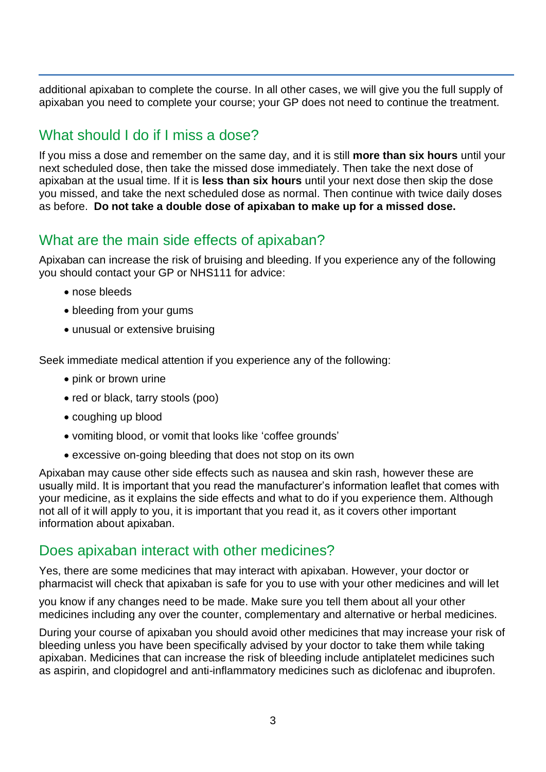additional apixaban to complete the course. In all other cases, we will give you the full supply of apixaban you need to complete your course; your GP does not need to continue the treatment.

## What should I do if I miss a dose?

If you miss a dose and remember on the same day, and it is still **more than six hours** until your next scheduled dose, then take the missed dose immediately. Then take the next dose of apixaban at the usual time. If it is **less than six hours** until your next dose then skip the dose you missed, and take the next scheduled dose as normal. Then continue with twice daily doses as before. **Do not take a double dose of apixaban to make up for a missed dose.** 

## What are the main side effects of apixaban?

Apixaban can increase the risk of bruising and bleeding. If you experience any of the following you should contact your GP or NHS111 for advice:

- nose bleeds
- bleeding from your gums
- unusual or extensive bruising

Seek immediate medical attention if you experience any of the following:

- pink or brown urine
- red or black, tarry stools (poo)
- coughing up blood
- vomiting blood, or vomit that looks like 'coffee grounds'
- excessive on-going bleeding that does not stop on its own

Apixaban may cause other side effects such as nausea and skin rash, however these are usually mild. It is important that you read the manufacturer's information leaflet that comes with your medicine, as it explains the side effects and what to do if you experience them. Although not all of it will apply to you, it is important that you read it, as it covers other important information about apixaban.

## Does apixaban interact with other medicines?

Yes, there are some medicines that may interact with apixaban. However, your doctor or pharmacist will check that apixaban is safe for you to use with your other medicines and will let

you know if any changes need to be made. Make sure you tell them about all your other medicines including any over the counter, complementary and alternative or herbal medicines.

During your course of apixaban you should avoid other medicines that may increase your risk of bleeding unless you have been specifically advised by your doctor to take them while taking apixaban. Medicines that can increase the risk of bleeding include antiplatelet medicines such as aspirin, and clopidogrel and anti-inflammatory medicines such as diclofenac and ibuprofen.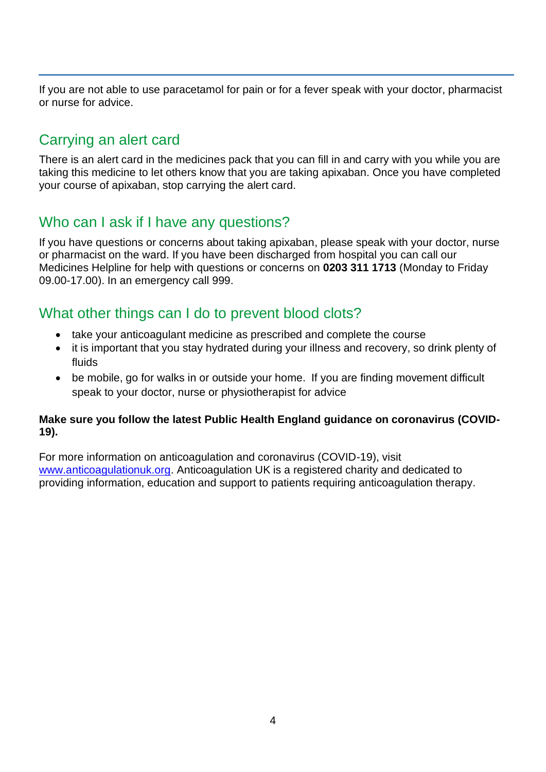If you are not able to use paracetamol for pain or for a fever speak with your doctor, pharmacist or nurse for advice.

## Carrying an alert card

There is an alert card in the medicines pack that you can fill in and carry with you while you are taking this medicine to let others know that you are taking apixaban. Once you have completed your course of apixaban, stop carrying the alert card.

## Who can I ask if I have any questions?

If you have questions or concerns about taking apixaban, please speak with your doctor, nurse or pharmacist on the ward. If you have been discharged from hospital you can call our Medicines Helpline for help with questions or concerns on **0203 311 1713** (Monday to Friday 09.00-17.00). In an emergency call 999.

## What other things can I do to prevent blood clots?

- take your anticoagulant medicine as prescribed and complete the course
- it is important that you stay hydrated during your illness and recovery, so drink plenty of fluids
- be mobile, go for walks in or outside your home. If you are finding movement difficult speak to your doctor, nurse or physiotherapist for advice

#### **Make sure you follow the latest Public Health England guidance on coronavirus (COVID-19).**

For more information on anticoagulation and coronavirus (COVID-19), visit [www.anticoagulationuk.org.](http://www.anticoagulationuk.org/) Anticoagulation UK is a registered charity and dedicated to providing information, education and support to patients requiring anticoagulation therapy.